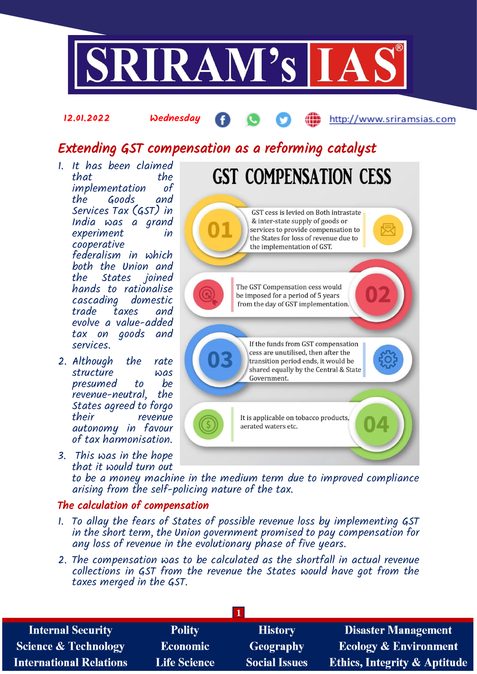

### 12.01.2022 Wednesday

# http://www.sriramsias.com

# Extending GST compensation as a reforming catalyst

- 1. It has been claimed that the<br>implementation of implementation the Goods and Services Tax (GST) in India was a grand experiment in cooperative federalism in which both the Union and the States joined hands to rationalise cascading domestic taxes evolve a value-added tax on goods and services.
- 2. Although the rate structure was presumed to be<br>revenue-neutral the revenue-neutral, States agreed to forgo revenue autonomy in favour of tax harmonisation.
- 3. This was in the hope that it would turn out

GST cess is levied on Both intrastate & inter-state supply of goods or services to provide compensation to the States for loss of revenue due to the implementation of GST. The GST Compensation cess would be imposed for a period of 5 years from the day of GST implementation. If the funds from GST compensation cess are unutilised, then after the transition period ends, it would be shared equally by the Central & State Government. It is applicable on tobacco products, aerated waters etc.

**GST COMPENSATION CESS** 

to be a money machine in the medium term due to improved compliance arising from the self-policing nature of the tax.

# The calculation of compensation

- 1. To allay the fears of States of possible revenue loss by implementing GST in the short term, the Union government promised to pay compensation for any loss of revenue in the evolutionary phase of five years.
- 2. The compensation was to be calculated as the shortfall in actual revenue collections in GST from the revenue the States would have got from the taxes merged in the GST.

| <b>Internal Security</b>        | <b>Polity</b>       | <b>History</b>       | <b>Disaster Management</b>              |
|---------------------------------|---------------------|----------------------|-----------------------------------------|
| <b>Science &amp; Technology</b> | <b>Economic</b>     | <b>Geography</b>     | <b>Ecology &amp; Environment</b>        |
| <b>International Relations</b>  | <b>Life Science</b> | <b>Social Issues</b> | <b>Ethics, Integrity &amp; Aptitude</b> |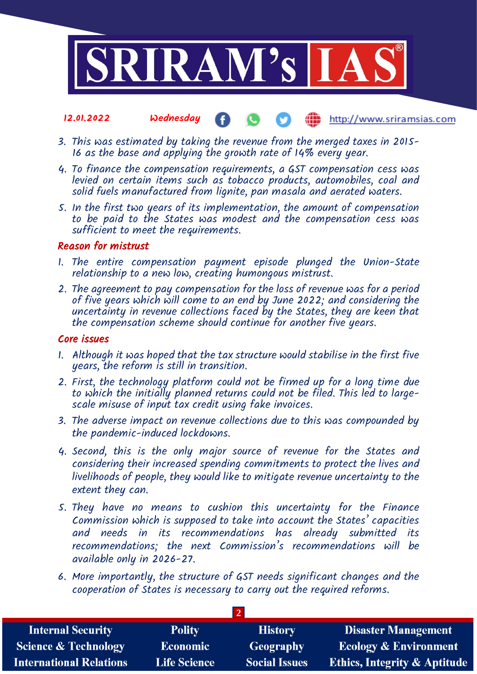

#### 12.01.2022 Wednesday **(iii)** http://www.sriramsias.com  $\bullet$

- 3. This was estimated by taking the revenue from the merged taxes in 2015- 16 as the base and applying the growth rate of 14% every year.
- 4. To finance the compensation requirements, a GST compensation cess was levied on certain items such as tobacco products, automobiles, coal and solid fuels manufactured from lignite, pan masala and aerated waters.
- 5. In the first two years of its implementation, the amount of compensation to be paid to the States was modest and the compensation cess was sufficient to meet the requirements.

## Reason for mistrust

- 1. The entire compensation payment episode plunged the Union-State relationship to a new low, creating humongous mistrust.
- 2. The agreement to pay compensation for the loss of revenue was for a period of five years which will come to an end by June 2022; and considering the uncertainty in revenue collections faced by the States, they are keen that the compensation scheme should continue for another five years.

## Core issues

- 1. Although it was hoped that the tax structure would stabilise in the first five years, the reform is still in transition.
- 2. First, the technology platform could not be firmed up for a long time due to which the initially planned returns could not be filed. This led to largescale misuse of input tax credit using fake invoices.
- 3. The adverse impact on revenue collections due to this was compounded by the pandemic-induced lockdowns.
- 4. Second, this is the only major source of revenue for the States and considering their increased spending commitments to protect the lives and livelihoods of people, they would like to mitigate revenue uncertainty to the extent they can.
- 5. They have no means to cushion this uncertainty for the Finance Commission which is supposed to take into account the States' capacities and needs in its recommendations has already submitted its recommendations; the next Commission's recommendations will be available only in 2026-27.
- 6. More importantly, the structure of GST needs significant changes and the cooperation of States is necessary to carry out the required reforms.

 $\overline{2}$ 

| <b>Internal Security</b>        | <b>Polity</b>       | <b>History</b>       | <b>Disaster Management</b>              |
|---------------------------------|---------------------|----------------------|-----------------------------------------|
| <b>Science &amp; Technology</b> | <b>Economic</b>     | <b>Geography</b>     | <b>Ecology &amp; Environment</b>        |
| <b>International Relations</b>  | <b>Life Science</b> | <b>Social Issues</b> | <b>Ethics, Integrity &amp; Aptitude</b> |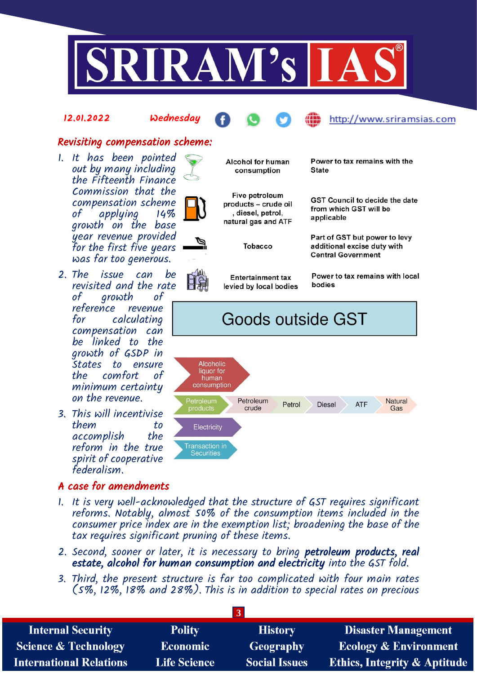

## 12.01.2022 Wednesday



## http://www.sriramsias.com

# Revisiting compensation scheme:

- 1. It has been pointed out by many including the Fifteenth Finance Commission that the compensation scheme of applying 14% growth on the base year revenue provided for the first five years was far too generous.
- 2. The issue can be revisited and the rate<br>of orowth of growth reference revenue for calculating compensation can be linked to the growth of GSDP in States to ensure the comfort of minimum certainty on the revenue.
- 3. This will incentivise them to accomplish the reform in the true spirit of cooperative federalism.

# A case for amendments



Alcohol for human consumption

Five petroleum products - crude oil , diesel, petrol, natural gas and ATF

Tobacco

**Entertainment tax** levied by local bodies Power to tax remains with the State

**GST Council to decide the date** from which GST will be applicable

Part of GST but power to levy additional excise duty with **Central Government** 

Power to tax remains with local bodies

# Goods outside GST



- 1. It is very well-acknowledged that the structure of GST requires significant reforms. Notably, almost 50% of the consumption items included in the consumer price index are in the exemption list; broadening the base of the tax requires significant pruning of these items.
- 2. Second, sooner or later, it is necessary to bring petroleum products, real estate, alcohol for human consumption and electricity into the GST fold.
- 3. Third, the present structure is far too complicated with four main rates (5%, 12%, 18% and 28%). This is in addition to special rates on precious

| <b>Internal Security</b>        | <b>Polity</b>       | <b>History</b>       | <b>Disaster Management</b>              |
|---------------------------------|---------------------|----------------------|-----------------------------------------|
| <b>Science &amp; Technology</b> | <b>Economic</b>     | Geography            | <b>Ecology &amp; Environment</b>        |
| <b>International Relations</b>  | <b>Life Science</b> | <b>Social Issues</b> | <b>Ethics, Integrity &amp; Aptitude</b> |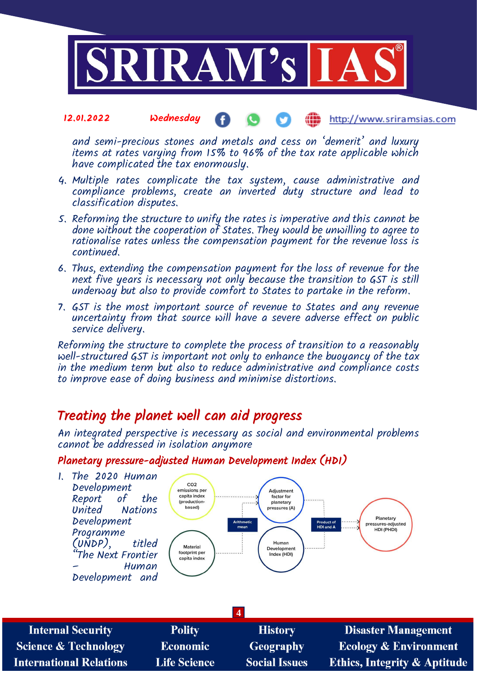

and semi-precious stones and metals and cess on 'demerit' and luxury items at rates varying from 15% to 96% of the tax rate applicable which have complicated the tax enormously.

- 4. Multiple rates complicate the tax system, cause administrative and compliance problems, create an inverted duty structure and lead to classification disputes.
- 5. Reforming the structure to unify the rates is imperative and this cannot be done without the cooperation of States. They would be unwilling to agree to rationalise rates unless the compensation payment for the revenue loss is continued.
- 6. Thus, extending the compensation payment for the loss of revenue for the next five years is necessary not only because the transition to GST is still underway but also to provide comfort to States to partake in the reform.
- 7. GST is the most important source of revenue to States and any revenue uncertainty from that source will have a severe adverse effect on public service delivery.

Reforming the structure to complete the process of transition to a reasonably well-structured GST is important not only to enhance the buoyancy of the tax in the medium term but also to reduce administrative and compliance costs to improve ease of doing business and minimise distortions.

# Treating the planet well can aid progress

**Life Science** 

**International Relations** 

An integrated perspective is necessary as social and environmental problems cannot be addressed in isolation anymore

# Planetary pressure-adjusted Human Development Index (HDI)



**Social Issues** 

**Ethics, Integrity & Aptitude**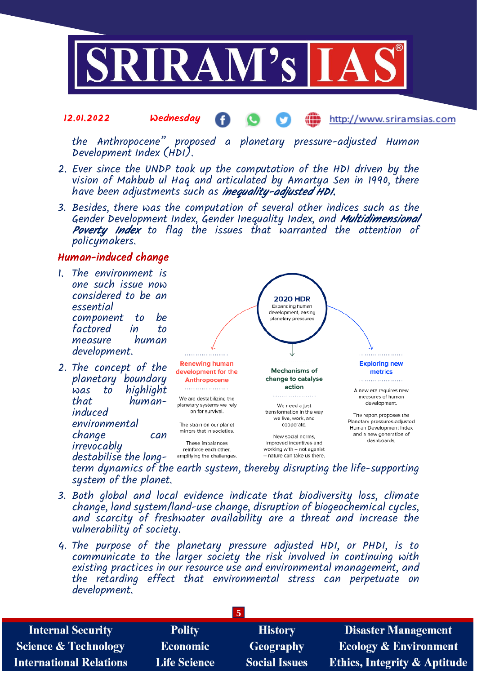

the Anthropocene" proposed a planetary pressure-adjusted Human Development Index (HDI).

- 2. Ever since the UNDP took up the computation of the HDI driven by the vision of Mahbub ul Haq and articulated by Amartya Sen in 1990, there have been adjustments such as *inequality-adjusted HDI*.
- 3. Besides, there was the computation of several other indices such as the Gender Development Index, Gender Inequality Index, and Multidimensional Poverty Index to flag the issues that warranted the attention of policymakers.

## Human-induced change

- 1. The environment is one such issue now considered to be an essential component to be factored in to measure human development.
- 2. The concept of the planetary boundary<br>was to highlight  $was$  to that humaninduced environmental change can irrevocably destabilise the long-



term dynamics of the earth system, thereby disrupting the life-supporting system of the planet.

- 3. Both global and local evidence indicate that biodiversity loss, climate change, land system/land-use change, disruption of biogeochemical cycles, and scarcity of freshwater availability are a threat and increase the vulnerability of society.
- 4. The purpose of the planetary pressure adjusted HDI, or PHDI, is to communicate to the larger society the risk involved in continuing with existing practices in our resource use and environmental management, and the retarding effect that environmental stress can perpetuate on development.

| <b>Internal Security</b>        | <b>Polity</b>       | <b>History</b>       | <b>Disaster Management</b>              |
|---------------------------------|---------------------|----------------------|-----------------------------------------|
| <b>Science &amp; Technology</b> | <b>Economic</b>     | Geography            | <b>Ecology &amp; Environment</b>        |
| <b>International Relations</b>  | <b>Life Science</b> | <b>Social Issues</b> | <b>Ethics, Integrity &amp; Aptitude</b> |
|                                 |                     |                      |                                         |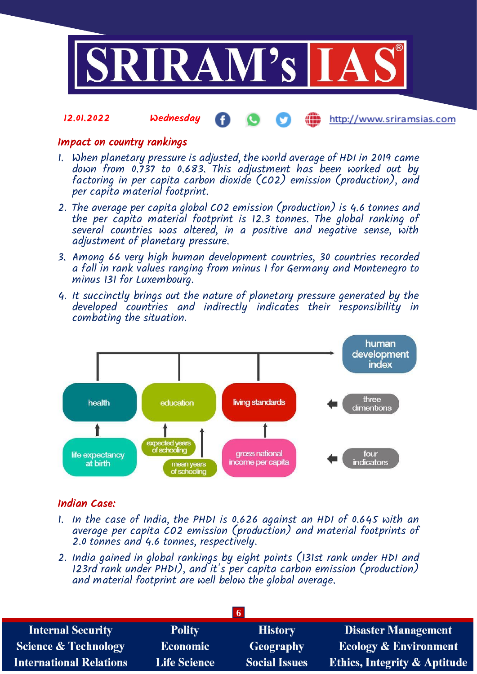

Æ

http://www.sriramsias.com

## Impact on country rankings

12.01.2022 Wednesday

- 1. When planetary pressure is adjusted, the world average of HDI in 2019 came down from 0.737 to 0.683. This adjustment has been worked out by factoring in per capita carbon dioxide (CO2) emission (production), and per capita material footprint.
- 2. The average per capita global CO2 emission (production) is 4.6 tonnes and the per capita material footprint is 12.3 tonnes. The global ranking of several countries was altered, in a positive and negative sense, with adjustment of planetary pressure.
- 3. Among 66 very high human development countries, 30 countries recorded a fall in rank values ranging from minus 1 for Germany and Montenegro to minus 131 for Luxembourg.
- 4. It succinctly brings out the nature of planetary pressure generated by the developed countries and indirectly indicates their responsibility in combating the situation.



## Indian Case:

- 1. In the case of India, the PHDI is 0.626 against an HDI of 0.645 with an average per capita CO2 emission (production) and material footprints of 2.0 tonnes and 4.6 tonnes, respectively.
- 2. India gained in global rankings by eight points (131st rank under HDI and 123rd rank under PHDI), and it's per capita carbon emission (production) and material footprint are well below the global average.

| <b>Polity</b>       | <b>History</b>       | <b>Disaster Management</b>              |
|---------------------|----------------------|-----------------------------------------|
| <b>Economic</b>     | Geography            | <b>Ecology &amp; Environment</b>        |
| <b>Life Science</b> | <b>Social Issues</b> | <b>Ethics, Integrity &amp; Aptitude</b> |
|                     |                      |                                         |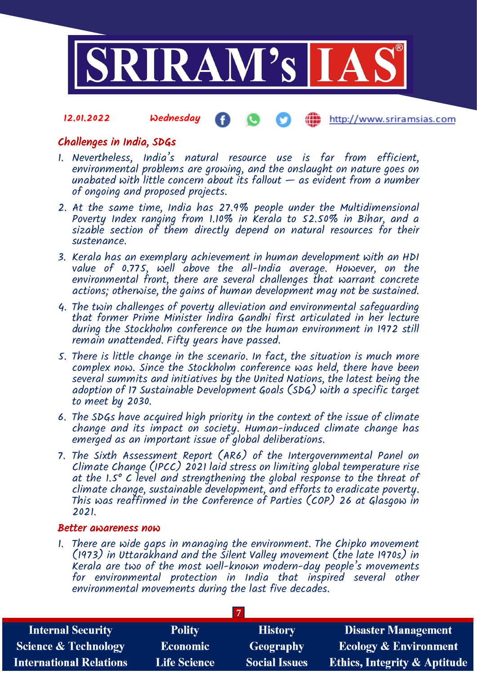

# Challenges in India, SDGs

- 1. Nevertheless, India's natural resource use is far from efficient, environmental problems are growing, and the onslaught on nature goes on unabated with little concern about its fallout  $-$  as evident from a number of ongoing and proposed projects.
- 2. At the same time, India has 27.9% people under the Multidimensional Poverty Index ranging from 1.10% in Kerala to 52.50% in Bihar, and a sizable section of them directly depend on natural resources for their sustenance.
- 3. Kerala has an exemplary achievement in human development with an HDI value of 0.775, well above the all-India average. However, on the environmental front, there are several challenges that warrant concrete actions; otherwise, the gains of human development may not be sustained.
- 4. The twin challenges of poverty alleviation and environmental safeguarding that former Prime Minister Indira Gandhi first articulated in her lecture during the Stockholm conference on the human environment in 1972 still remain unattended. Fifty years have passed.
- 5. There is little change in the scenario. In fact, the situation is much more complex now. Since the Stockholm conference was held, there have been several summits and initiatives by the United Nations, the latest being the adoption of 17 Sustainable Development Goals (SDG) with a specific target to meet by 2030.
- 6. The SDGs have acquired high priority in the context of the issue of climate change and its impact on society. Human-induced climate change has emerged as an important issue of global deliberations.
- 7. The Sixth Assessment Report (AR6) of the Intergovernmental Panel on Climate Change (IPCC) 2021 laid stress on limiting global temperature rise at the 1.5° C level and strengthening the global response to the threat of climate change, sustainable development, and efforts to eradicate poverty. This was reaffirmed in the Conference of Parties (COP) 26 at Glasgow in 2021.

## Better awareness now

1. There are wide gaps in managing the environment. The Chipko movement (1973) in Uttarakhand and the Silent Valley movement (the late 1970s) in Kerala are two of the most well-known modern-day people's movements for environmental protection in India that inspired several other environmental movements during the last five decades.

| <b>Internal Security</b>        | <b>Polity</b>       | <b>History</b>       | <b>Disaster Management</b>              |
|---------------------------------|---------------------|----------------------|-----------------------------------------|
| <b>Science &amp; Technology</b> | <b>Economic</b>     | Geography            | <b>Ecology &amp; Environment</b>        |
| <b>International Relations</b>  | <b>Life Science</b> | <b>Social Issues</b> | <b>Ethics, Integrity &amp; Aptitude</b> |